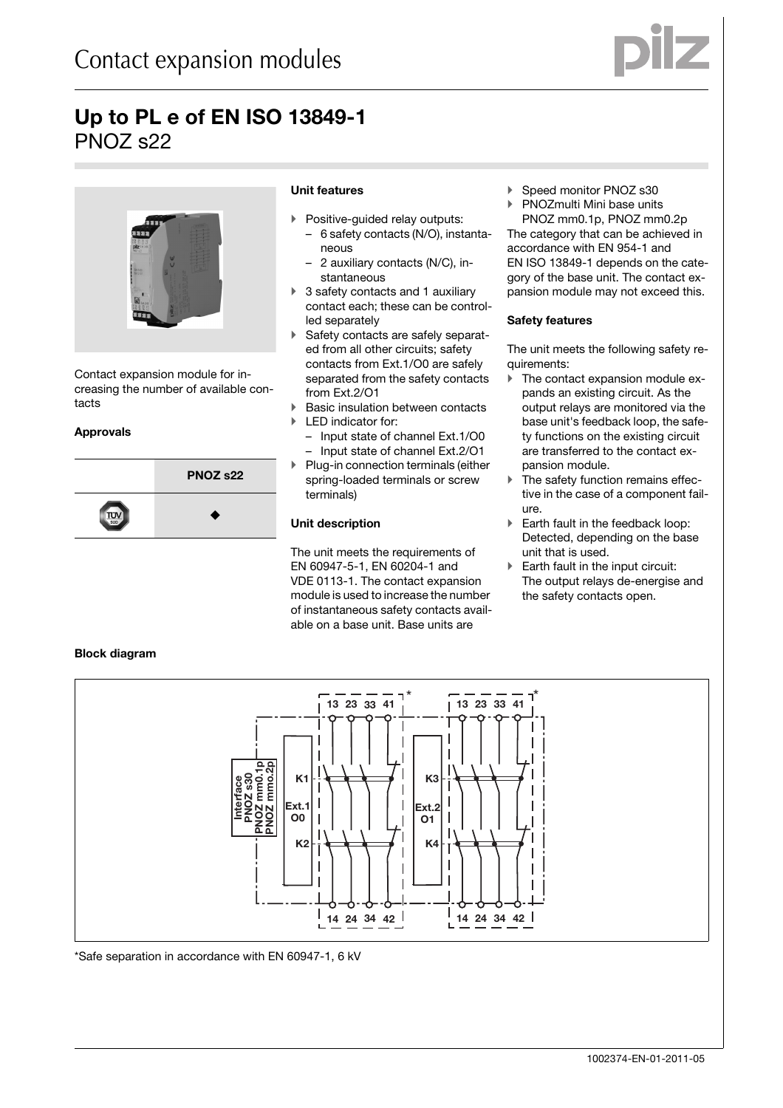



Contact expansion module for increasing the number of available contacts

#### **Approvals**

**Block diagram**



# **Unit features**

- $\blacktriangleright$  Positive-guided relay outputs:
- 6 safety contacts (N/O), instantaneous
- 2 auxiliary contacts (N/C), instantaneous
- $\blacktriangleright$  3 safety contacts and 1 auxiliary contact each; these can be controlled separately
- Safety contacts are safely separated from all other circuits; safety contacts from Ext.1/O0 are safely separated from the safety contacts from Ext.2/O1
- $\blacktriangleright$ Basic insulation between contacts
- $\blacktriangleright$  LED indicator for:
	- Input state of channel Ext.1/O0
	- Input state of channel Ext.2/O1 Plug-in connection terminals (either
- spring-loaded terminals or screw terminals)

# **Unit description**

 $\blacktriangleright$ 

The unit meets the requirements of EN 60947-5-1, EN 60204-1 and VDE 0113-1. The contact expansion module is used to increase the number of instantaneous safety contacts available on a base unit. Base units are

- ▶ Speed monitor PNOZ s30
- $\blacktriangleright$ PNOZmulti Mini base units

PNOZ mm0.1p, PNOZ mm0.2p The category that can be achieved in accordance with EN 954-1 and EN ISO 13849-1 depends on the category of the base unit. The contact expansion module may not exceed this.

# **Safety features**

The unit meets the following safety requirements:

- $\blacktriangleright$  The contact expansion module expands an existing circuit. As the output relays are monitored via the base unit's feedback loop, the safety functions on the existing circuit are transferred to the contact expansion module.
- $\blacktriangleright$  The safety function remains effective in the case of a component failure.
- $\blacktriangleright$  Earth fault in the feedback loop: Detected, depending on the base unit that is used.
- **Earth fault in the input circuit:** The output relays de-energise and the safety contacts open.



\*Safe separation in accordance with EN 60947-1, 6 kV

# 1002374-EN-01-2011-05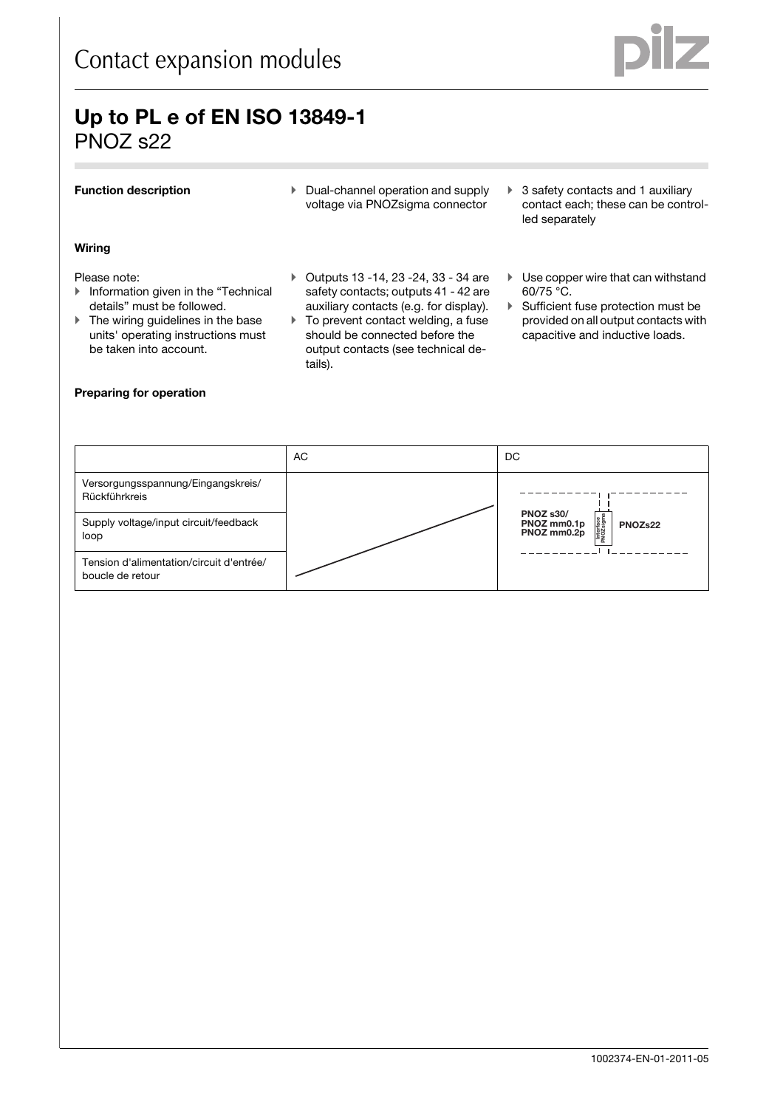

### **Function description**

- Dual-channel operation and supply voltage via PNOZsigma connector

### **Wiring**

#### Please note:

- **Information given in the "Technical** details" must be followed.
- If The wiring guidelines in the base units' operating instructions must be taken into account.

# **Preparing for operation**

#### $\blacktriangleright$  Outputs 13 -14, 23 -24, 33 - 34 are safety contacts; outputs 41 - 42 are auxiliary contacts (e.g. for display).

- **To prevent contact welding, a fuse** should be connected before the output contacts (see technical details).
- ▶ 3 safety contacts and 1 auxiliary contact each; these can be controlled separately
- **Use copper wire that can withstand** 60/75 °C.
- Sufficient fuse protection must be provided on all output contacts with capacitive and inductive loads.

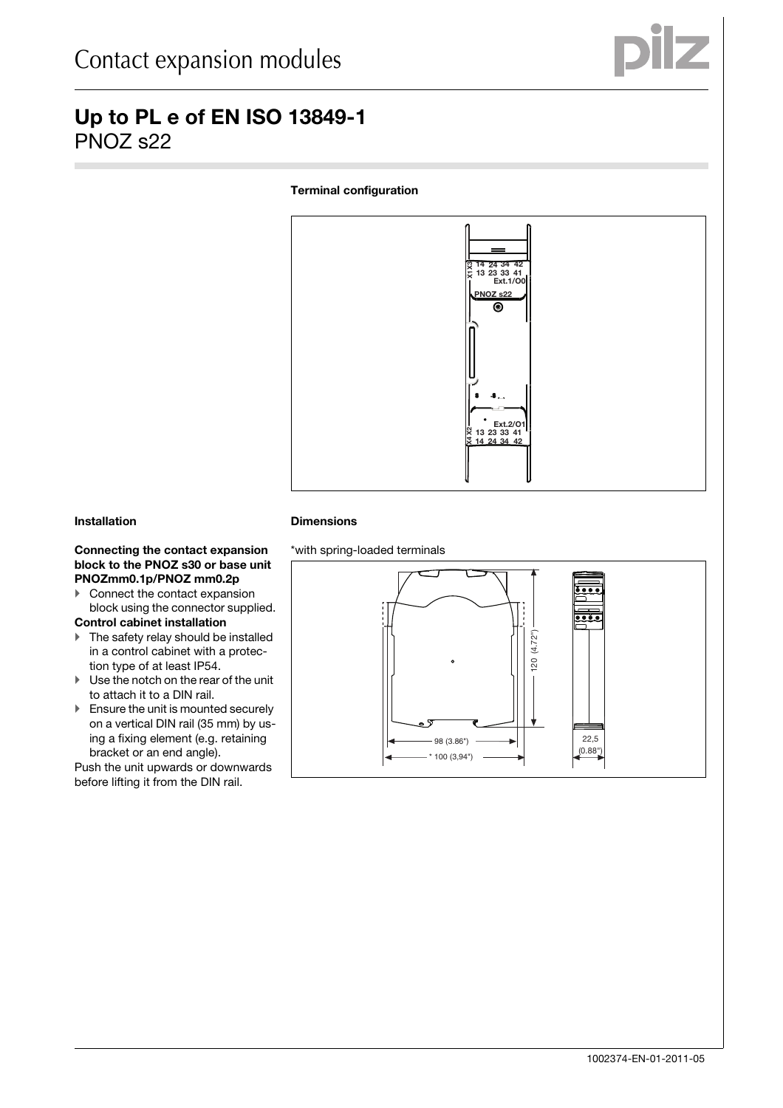

# **Terminal configuration**



### **Installation**

#### Connecting the contact expansion **block to the PNOZ s30 or base unit PNOZmm0.1p/PNOZ mm0.2p**

**Connect the contact expansion** block using the connector supplied.

### **Control cabinet installation**

- **The safety relay should be installed** in a control cabinet with a protection type of at least IP54.
- **I** Use the notch on the rear of the unit to attach it to a DIN rail.
- **Ensure the unit is mounted securely** on a vertical DIN rail (35 mm) by using a fixing element (e.g. retaining bracket or an end angle).

Push the unit upwards or downwards before lifting it from the DIN rail.

#### **Dimensions**

\*with spring-loaded terminals

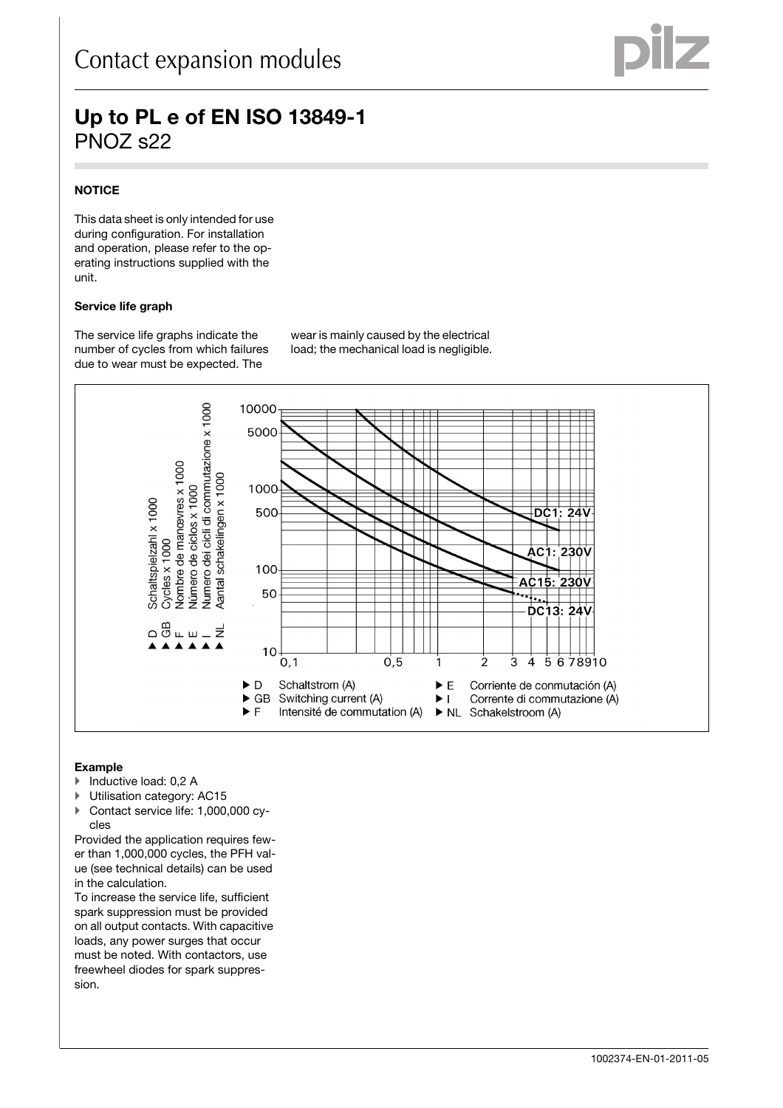# **NOTICE**

This data sheet is only intended for use during configuration. For installation and operation, please refer to the operating instructions supplied with the unit.

# **Service life graph**

The service life graphs indicate the number of cycles from which failures due to wear must be expected. The

wear is mainly caused by the electrical load; the mechanical load is negligible.



# Example

- ▶ Inductive load: 0,2 A
- -Utilisation category: AC15
- Contact service life: 1,000,000 cycles

Provided the application requires fewer than 1,000,000 cycles, the PFH value (see technical details) can be used in the calculation.

To increase the service life, sufficient spark suppression must be provided on all output contacts. With capacitive loads, any power surges that occur must be noted. With contactors, use freewheel diodes for spark suppression.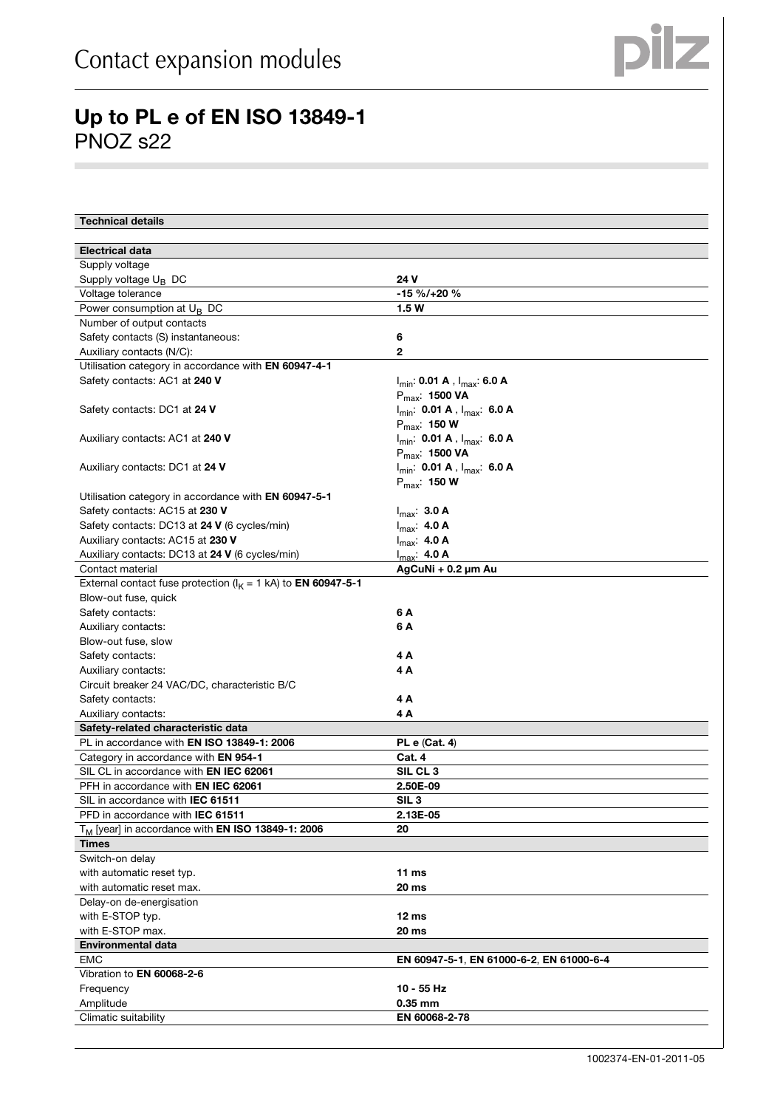

| <b>Technical details</b>                                                |                                                              |
|-------------------------------------------------------------------------|--------------------------------------------------------------|
| <b>Electrical data</b>                                                  |                                                              |
| Supply voltage                                                          |                                                              |
| Supply voltage $U_B$ DC                                                 | 24 V                                                         |
| Voltage tolerance                                                       | $-15 \% / +20 \%$                                            |
| Power consumption at $U_B$ DC                                           | 1.5W                                                         |
| Number of output contacts                                               |                                                              |
| Safety contacts (S) instantaneous:                                      | 6                                                            |
| Auxiliary contacts (N/C):                                               | 2                                                            |
| Utilisation category in accordance with EN 60947-4-1                    |                                                              |
| Safety contacts: AC1 at 240 V                                           | $I_{min}$ : 0.01 A, $I_{max}$ : 6.0 A<br>$P_{max}$ : 1500 VA |
| Safety contacts: DC1 at 24 V                                            | $I_{min}$ : 0.01 A, $I_{max}$ : 6.0 A<br>$P_{max}$ : 150 W   |
| Auxiliary contacts: AC1 at 240 V                                        | $I_{min}$ : 0.01 A, $I_{max}$ : 6.0 A<br>$P_{max}$ : 1500 VA |
| Auxiliary contacts: DC1 at 24 V                                         | $I_{min}$ : 0.01 A, $I_{max}$ : 6.0 A<br>$P_{max}$ : 150 W   |
| Utilisation category in accordance with EN 60947-5-1                    |                                                              |
| Safety contacts: AC15 at 230 V                                          | $I_{\text{max}}$ : 3.0 A                                     |
| Safety contacts: DC13 at 24 V (6 cycles/min)                            | $I_{max}$ : 4.0 A                                            |
| Auxiliary contacts: AC15 at 230 V                                       | $I_{max}$ : 4.0 A                                            |
| Auxiliary contacts: DC13 at 24 V (6 cycles/min)                         | $I_{max}$ : 4.0 A                                            |
| Contact material                                                        | AgCuNi + 0.2 µm Au                                           |
| External contact fuse protection ( $I_K = 1$ kA) to <b>EN 60947-5-1</b> |                                                              |
| Blow-out fuse, quick                                                    |                                                              |
| Safety contacts:                                                        | 6 A                                                          |
| Auxiliary contacts:                                                     | 6 A                                                          |
| Blow-out fuse, slow                                                     |                                                              |
| Safety contacts:                                                        | 4 A                                                          |
| Auxiliary contacts:                                                     | 4 A                                                          |
| Circuit breaker 24 VAC/DC, characteristic B/C                           |                                                              |
| Safety contacts:                                                        | 4 A                                                          |
| Auxiliary contacts:                                                     | 4 A                                                          |
| Safety-related characteristic data                                      |                                                              |
| PL in accordance with EN ISO 13849-1: 2006                              | <b>PL e (Cat. 4)</b>                                         |
| Category in accordance with EN 954-1                                    | Cat. 4                                                       |
| SIL CL in accordance with <b>EN IEC 62061</b>                           | SIL CL <sub>3</sub>                                          |
| PFH in accordance with <b>EN IEC 62061</b>                              | 2.50E-09                                                     |
| SIL in accordance with <b>IEC 61511</b>                                 | SIL 3                                                        |
| PFD in accordance with IEC 61511                                        | 2.13E-05                                                     |
| T <sub>M</sub> [year] in accordance with <b>EN ISO 13849-1: 2006</b>    | 20                                                           |
| <b>Times</b>                                                            |                                                              |
| Switch-on delay                                                         |                                                              |
| with automatic reset typ.                                               | 11 $ms$                                                      |
| with automatic reset max.                                               | 20 ms                                                        |
| Delay-on de-energisation                                                |                                                              |
| with E-STOP typ.                                                        | 12 <sub>ms</sub>                                             |
| with E-STOP max.                                                        | 20 ms                                                        |
| <b>Environmental data</b>                                               |                                                              |
| <b>EMC</b>                                                              | EN 60947-5-1, EN 61000-6-2, EN 61000-6-4                     |
| Vibration to EN 60068-2-6                                               |                                                              |
| Frequency                                                               | 10 - 55 Hz                                                   |
| Amplitude                                                               | 0.35 mm                                                      |
| Climatic suitability                                                    | EN 60068-2-78                                                |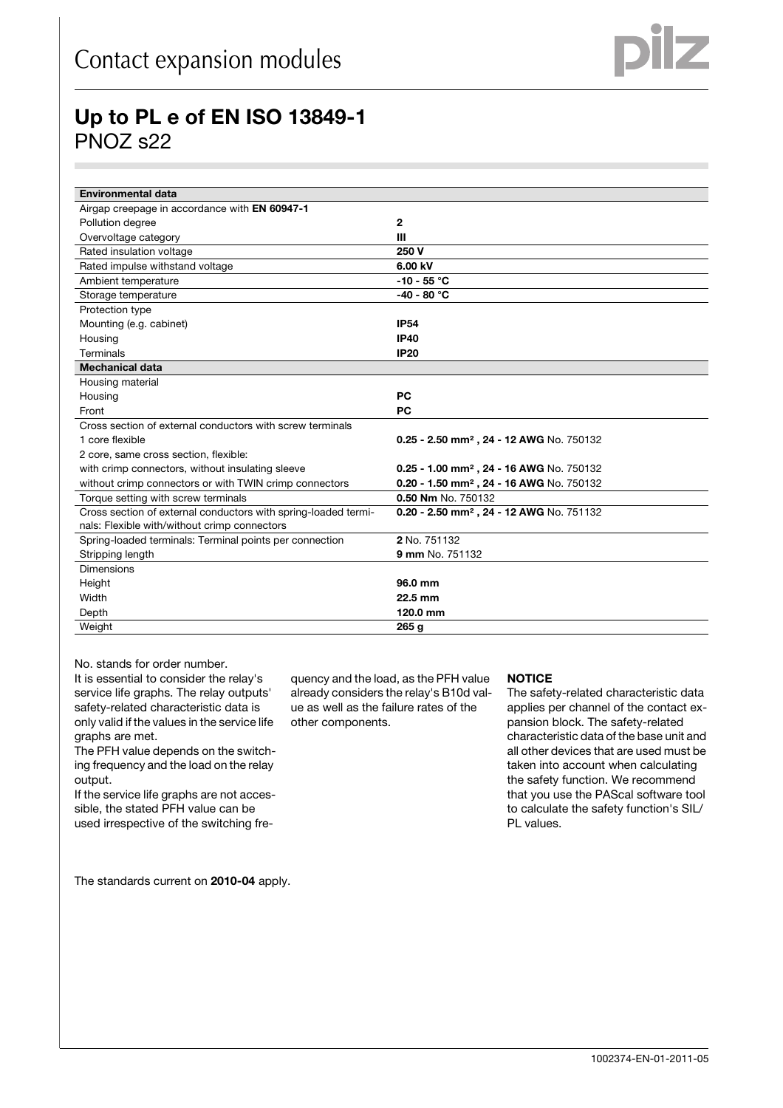| <b>Environmental data</b>                                      |                                                      |
|----------------------------------------------------------------|------------------------------------------------------|
| Airgap creepage in accordance with EN 60947-1                  |                                                      |
| Pollution degree                                               | $\overline{2}$                                       |
| Overvoltage category                                           | Ш                                                    |
| Rated insulation voltage                                       | 250 V                                                |
| Rated impulse withstand voltage                                | 6.00 kV                                              |
| Ambient temperature                                            | $-10 - 55 °C$                                        |
| Storage temperature                                            | $-40 - 80 °C$                                        |
| Protection type                                                |                                                      |
| Mounting (e.g. cabinet)                                        | <b>IP54</b>                                          |
| Housing                                                        | <b>IP40</b>                                          |
| Terminals                                                      | <b>IP20</b>                                          |
| <b>Mechanical data</b>                                         |                                                      |
| Housing material                                               |                                                      |
| Housing                                                        | <b>PC</b>                                            |
| Front                                                          | <b>PC</b>                                            |
| Cross section of external conductors with screw terminals      |                                                      |
| 1 core flexible                                                | 0.25 - 2.50 mm <sup>2</sup> , 24 - 12 AWG No. 750132 |
| 2 core, same cross section, flexible:                          |                                                      |
| with crimp connectors, without insulating sleeve               | 0.25 - 1.00 mm <sup>2</sup> , 24 - 16 AWG No. 750132 |
| without crimp connectors or with TWIN crimp connectors         | 0.20 - 1.50 mm <sup>2</sup> , 24 - 16 AWG No. 750132 |
| Torque setting with screw terminals                            | 0.50 Nm No. 750132                                   |
| Cross section of external conductors with spring-loaded termi- | 0.20 - 2.50 mm <sup>2</sup> , 24 - 12 AWG No. 751132 |
| nals: Flexible with/without crimp connectors                   |                                                      |
| Spring-loaded terminals: Terminal points per connection        | 2 No. 751132                                         |
| Stripping length                                               | 9 mm No. 751132                                      |
| <b>Dimensions</b>                                              |                                                      |
| Height                                                         | 96.0 mm                                              |
| Width                                                          | 22.5 mm                                              |
| Depth                                                          | 120.0 mm                                             |
| Weight                                                         | 265 <sub>g</sub>                                     |

No. stands for order number.

It is essential to consider the relay's service life graphs. The relay outputs' safety-related characteristic data is only valid if the values in the service life graphs are met.

The PFH value depends on the switching frequency and the load on the relay output.

If the service life graphs are not accessible, the stated PFH value can be used irrespective of the switching fre-

The standards current on **2010-04** apply.

quency and the load, as the PFH value already considers the relay's B10d value as well as the failure rates of the other components.

#### **NOTICE**

The safety-related characteristic data applies per channel of the contact expansion block. The safety-related characteristic data of the base unit and all other devices that are used must be taken into account when calculating the safety function. We recommend that you use the PAScal software tool to calculate the safety function's SIL/ PL values.